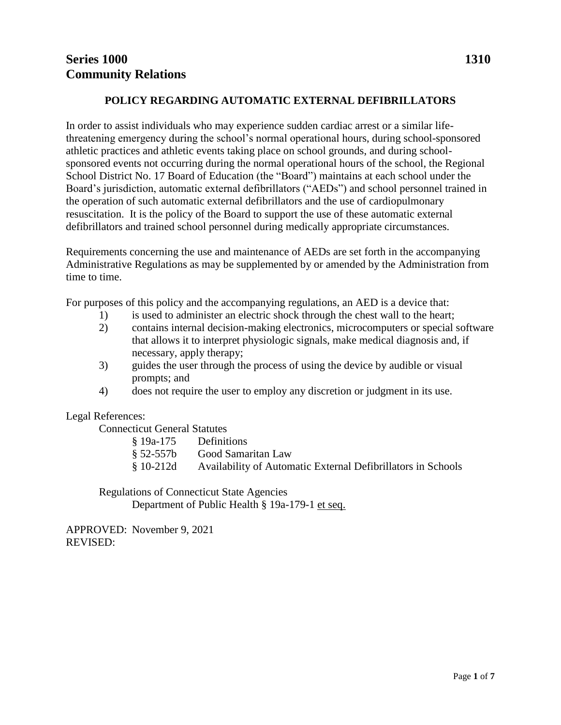# **POLICY REGARDING AUTOMATIC EXTERNAL DEFIBRILLATORS**

In order to assist individuals who may experience sudden cardiac arrest or a similar lifethreatening emergency during the school's normal operational hours, during school-sponsored athletic practices and athletic events taking place on school grounds, and during schoolsponsored events not occurring during the normal operational hours of the school, the Regional School District No. 17 Board of Education (the "Board") maintains at each school under the Board's jurisdiction, automatic external defibrillators ("AEDs") and school personnel trained in the operation of such automatic external defibrillators and the use of cardiopulmonary resuscitation. It is the policy of the Board to support the use of these automatic external defibrillators and trained school personnel during medically appropriate circumstances.

Requirements concerning the use and maintenance of AEDs are set forth in the accompanying Administrative Regulations as may be supplemented by or amended by the Administration from time to time.

For purposes of this policy and the accompanying regulations, an AED is a device that:

- 1) is used to administer an electric shock through the chest wall to the heart;
- 2) contains internal decision-making electronics, microcomputers or special software that allows it to interpret physiologic signals, make medical diagnosis and, if necessary, apply therapy;
- 3) guides the user through the process of using the device by audible or visual prompts; and
- 4) does not require the user to employ any discretion or judgment in its use.

Legal References:

Connecticut General Statutes

| § 19a-175   | <b>Definitions</b>                                           |
|-------------|--------------------------------------------------------------|
| $§ 52-557b$ | Good Samaritan Law                                           |
| $§ 10-212d$ | Availability of Automatic External Defibrillators in Schools |

Regulations of Connecticut State Agencies Department of Public Health § 19a-179-1 et seq.

APPROVED: November 9, 2021 REVISED: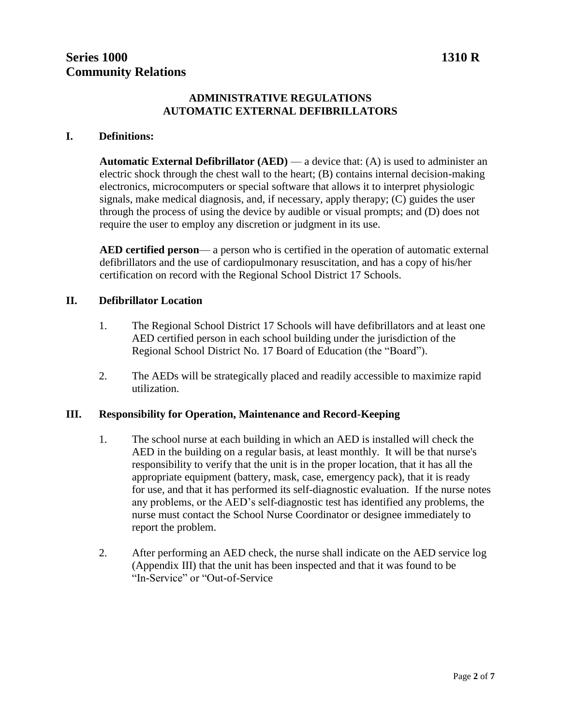# **ADMINISTRATIVE REGULATIONS AUTOMATIC EXTERNAL DEFIBRILLATORS**

#### **I. Definitions:**

**Automatic External Defibrillator (AED)** — a device that: (A) is used to administer an electric shock through the chest wall to the heart; (B) contains internal decision-making electronics, microcomputers or special software that allows it to interpret physiologic signals, make medical diagnosis, and, if necessary, apply therapy; (C) guides the user through the process of using the device by audible or visual prompts; and (D) does not require the user to employ any discretion or judgment in its use.

**AED certified person**— a person who is certified in the operation of automatic external defibrillators and the use of cardiopulmonary resuscitation, and has a copy of his/her certification on record with the Regional School District 17 Schools.

#### **II. Defibrillator Location**

- 1. The Regional School District 17 Schools will have defibrillators and at least one AED certified person in each school building under the jurisdiction of the Regional School District No. 17 Board of Education (the "Board").
- 2. The AEDs will be strategically placed and readily accessible to maximize rapid utilization.

#### **III. Responsibility for Operation, Maintenance and Record-Keeping**

- 1. The school nurse at each building in which an AED is installed will check the AED in the building on a regular basis, at least monthly. It will be that nurse's responsibility to verify that the unit is in the proper location, that it has all the appropriate equipment (battery, mask, case, emergency pack), that it is ready for use, and that it has performed its self-diagnostic evaluation. If the nurse notes any problems, or the AED's self-diagnostic test has identified any problems, the nurse must contact the School Nurse Coordinator or designee immediately to report the problem.
- 2. After performing an AED check, the nurse shall indicate on the AED service log (Appendix III) that the unit has been inspected and that it was found to be "In-Service" or "Out-of-Service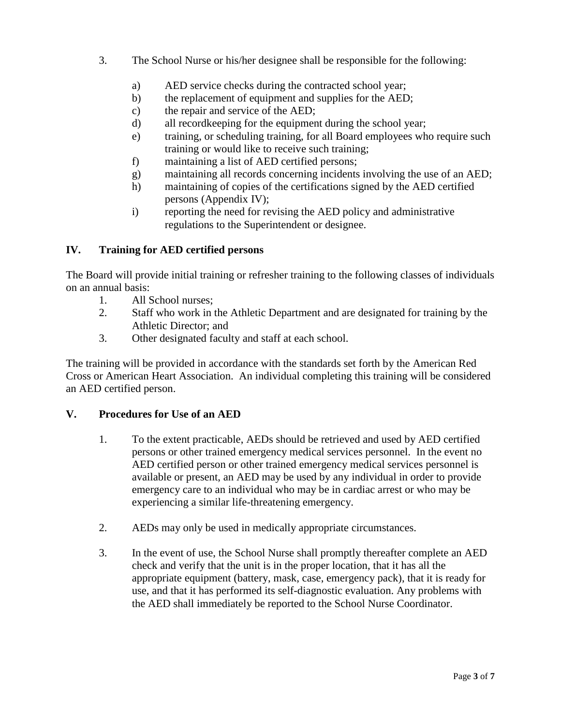- 3. The School Nurse or his/her designee shall be responsible for the following:
	- a) AED service checks during the contracted school year;
	- b) the replacement of equipment and supplies for the AED;
	- c) the repair and service of the AED;
	- d) all recordkeeping for the equipment during the school year;
	- e) training, or scheduling training, for all Board employees who require such training or would like to receive such training;
	- f) maintaining a list of AED certified persons;
	- g) maintaining all records concerning incidents involving the use of an AED;
	- h) maintaining of copies of the certifications signed by the AED certified persons (Appendix IV);
	- i) reporting the need for revising the AED policy and administrative regulations to the Superintendent or designee.

# **IV. Training for AED certified persons**

The Board will provide initial training or refresher training to the following classes of individuals on an annual basis:

- 1. All School nurses;
- 2. Staff who work in the Athletic Department and are designated for training by the Athletic Director; and
- 3. Other designated faculty and staff at each school.

The training will be provided in accordance with the standards set forth by the American Red Cross or American Heart Association. An individual completing this training will be considered an AED certified person.

# **V. Procedures for Use of an AED**

- 1. To the extent practicable, AEDs should be retrieved and used by AED certified persons or other trained emergency medical services personnel. In the event no AED certified person or other trained emergency medical services personnel is available or present, an AED may be used by any individual in order to provide emergency care to an individual who may be in cardiac arrest or who may be experiencing a similar life-threatening emergency.
- 2. AEDs may only be used in medically appropriate circumstances.
- 3. In the event of use, the School Nurse shall promptly thereafter complete an AED check and verify that the unit is in the proper location, that it has all the appropriate equipment (battery, mask, case, emergency pack), that it is ready for use, and that it has performed its self-diagnostic evaluation. Any problems with the AED shall immediately be reported to the School Nurse Coordinator.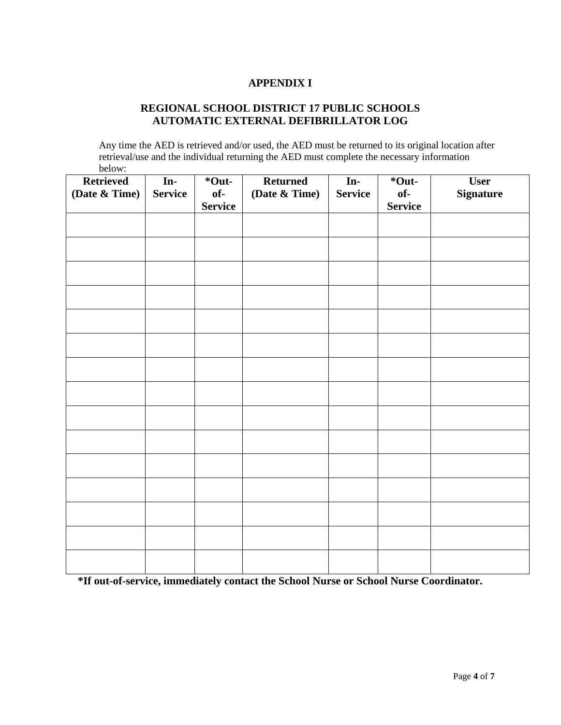# **APPENDIX I**

# **REGIONAL SCHOOL DISTRICT 17 PUBLIC SCHOOLS AUTOMATIC EXTERNAL DEFIBRILLATOR LOG**

Any time the AED is retrieved and/or used, the AED must be returned to its original location after retrieval/use and the individual returning the AED must complete the necessary information below:

| <b>Retrieved</b><br>(Date & Time) | In-<br><b>Service</b> | *Out-<br>of-   | <b>Returned</b><br>(Date & Time) | In-<br><b>Service</b> | *Out-<br>of-   | <b>User</b><br><b>Signature</b> |
|-----------------------------------|-----------------------|----------------|----------------------------------|-----------------------|----------------|---------------------------------|
|                                   |                       | <b>Service</b> |                                  |                       | <b>Service</b> |                                 |
|                                   |                       |                |                                  |                       |                |                                 |
|                                   |                       |                |                                  |                       |                |                                 |
|                                   |                       |                |                                  |                       |                |                                 |
|                                   |                       |                |                                  |                       |                |                                 |
|                                   |                       |                |                                  |                       |                |                                 |
|                                   |                       |                |                                  |                       |                |                                 |
|                                   |                       |                |                                  |                       |                |                                 |
|                                   |                       |                |                                  |                       |                |                                 |
|                                   |                       |                |                                  |                       |                |                                 |
|                                   |                       |                |                                  |                       |                |                                 |
|                                   |                       |                |                                  |                       |                |                                 |
|                                   |                       |                |                                  |                       |                |                                 |
|                                   |                       |                |                                  |                       |                |                                 |
|                                   |                       |                |                                  |                       |                |                                 |
|                                   |                       |                |                                  |                       |                |                                 |

**\*If out-of-service, immediately contact the School Nurse or School Nurse Coordinator.**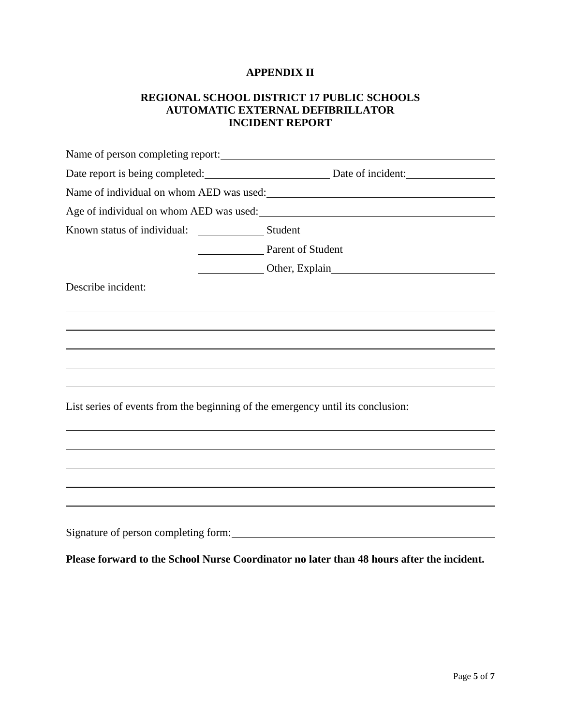## **APPENDIX II**

### **REGIONAL SCHOOL DISTRICT 17 PUBLIC SCHOOLS AUTOMATIC EXTERNAL DEFIBRILLATOR INCIDENT REPORT**

| Name of person completing report:                                               |                                                                                                                   |  |  |  |  |
|---------------------------------------------------------------------------------|-------------------------------------------------------------------------------------------------------------------|--|--|--|--|
|                                                                                 | Date report is being completed: Date of incident:                                                                 |  |  |  |  |
|                                                                                 | Name of individual on whom AED was used:<br><u>Name of individual on whom AED was used:</u>                       |  |  |  |  |
|                                                                                 | Age of individual on whom AED was used:<br><u>example</u> and the manufacture of individual on whom AED was used: |  |  |  |  |
|                                                                                 |                                                                                                                   |  |  |  |  |
|                                                                                 | Parent of Student                                                                                                 |  |  |  |  |
|                                                                                 | Other, Explain<br>Cher, Explain                                                                                   |  |  |  |  |
| Describe incident:                                                              |                                                                                                                   |  |  |  |  |
|                                                                                 |                                                                                                                   |  |  |  |  |
|                                                                                 |                                                                                                                   |  |  |  |  |
|                                                                                 |                                                                                                                   |  |  |  |  |
|                                                                                 |                                                                                                                   |  |  |  |  |
| List series of events from the beginning of the emergency until its conclusion: |                                                                                                                   |  |  |  |  |
|                                                                                 |                                                                                                                   |  |  |  |  |
|                                                                                 |                                                                                                                   |  |  |  |  |
|                                                                                 |                                                                                                                   |  |  |  |  |
|                                                                                 |                                                                                                                   |  |  |  |  |
|                                                                                 |                                                                                                                   |  |  |  |  |
|                                                                                 |                                                                                                                   |  |  |  |  |

**Please forward to the School Nurse Coordinator no later than 48 hours after the incident.**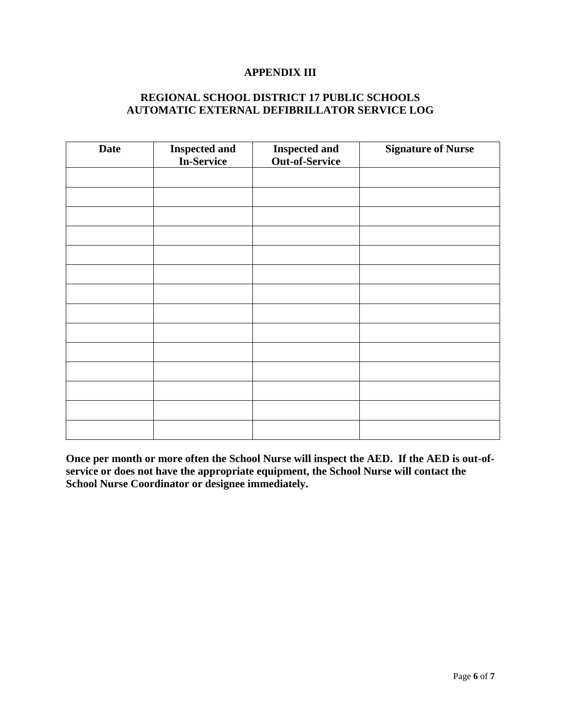#### **APPENDIX III**

# **REGIONAL SCHOOL DISTRICT 17 PUBLIC SCHOOLS AUTOMATIC EXTERNAL DEFIBRILLATOR SERVICE LOG**

| <b>Date</b> | <b>Inspected and</b><br>In-Service | <b>Inspected and</b><br>Out-of-Service | <b>Signature of Nurse</b> |
|-------------|------------------------------------|----------------------------------------|---------------------------|
|             |                                    |                                        |                           |
|             |                                    |                                        |                           |
|             |                                    |                                        |                           |
|             |                                    |                                        |                           |
|             |                                    |                                        |                           |
|             |                                    |                                        |                           |
|             |                                    |                                        |                           |
|             |                                    |                                        |                           |
|             |                                    |                                        |                           |
|             |                                    |                                        |                           |
|             |                                    |                                        |                           |
|             |                                    |                                        |                           |
|             |                                    |                                        |                           |
|             |                                    |                                        |                           |

**Once per month or more often the School Nurse will inspect the AED. If the AED is out-ofservice or does not have the appropriate equipment, the School Nurse will contact the School Nurse Coordinator or designee immediately.**